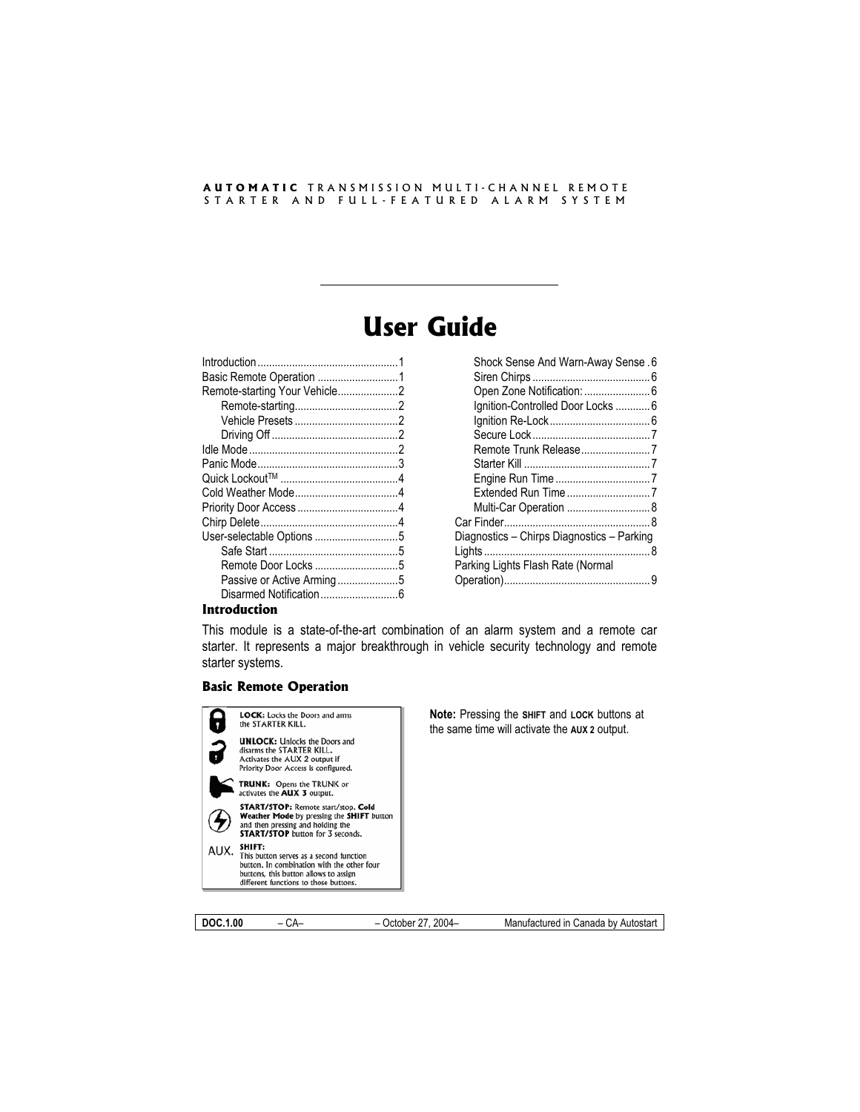#### **AUTOMATIC** TRANSMISSION MULTI-CHANNEL REMOTE STARTER AND FULL-FEATURED ALARM SYSTEM

# **User Guide**

| Basic Remote Operation 1      |  |
|-------------------------------|--|
| Remote-starting Your Vehicle2 |  |
|                               |  |
|                               |  |
|                               |  |
|                               |  |
|                               |  |
|                               |  |
|                               |  |
|                               |  |
|                               |  |
| User-selectable Options 5     |  |
|                               |  |
| Remote Door Locks 5           |  |
| Passive or Active Arming5     |  |
|                               |  |
|                               |  |

| <b>Shock Sense And Warn-Away Sense.6</b>   |  |
|--------------------------------------------|--|
| Open Zone Notification:  6                 |  |
| Ignition-Controlled Door Locks  6          |  |
|                                            |  |
|                                            |  |
| Remote Trunk Release7                      |  |
|                                            |  |
|                                            |  |
|                                            |  |
| Multi-Car Operation  8                     |  |
|                                            |  |
| Diagnostics – Chirps Diagnostics – Parking |  |
|                                            |  |
| Parking Lights Flash Rate (Normal          |  |
|                                            |  |
|                                            |  |

#### **Introduction**

This module is a state-of-the-art combination of an alarm system and a remote car starter. It represents a major breakthrough in vehicle security technology and remote starter systems.

#### **Basic Remote Operation**



**DOC.1.00** – CA– – October 27, 2004– Manufactured in Canada by Autostart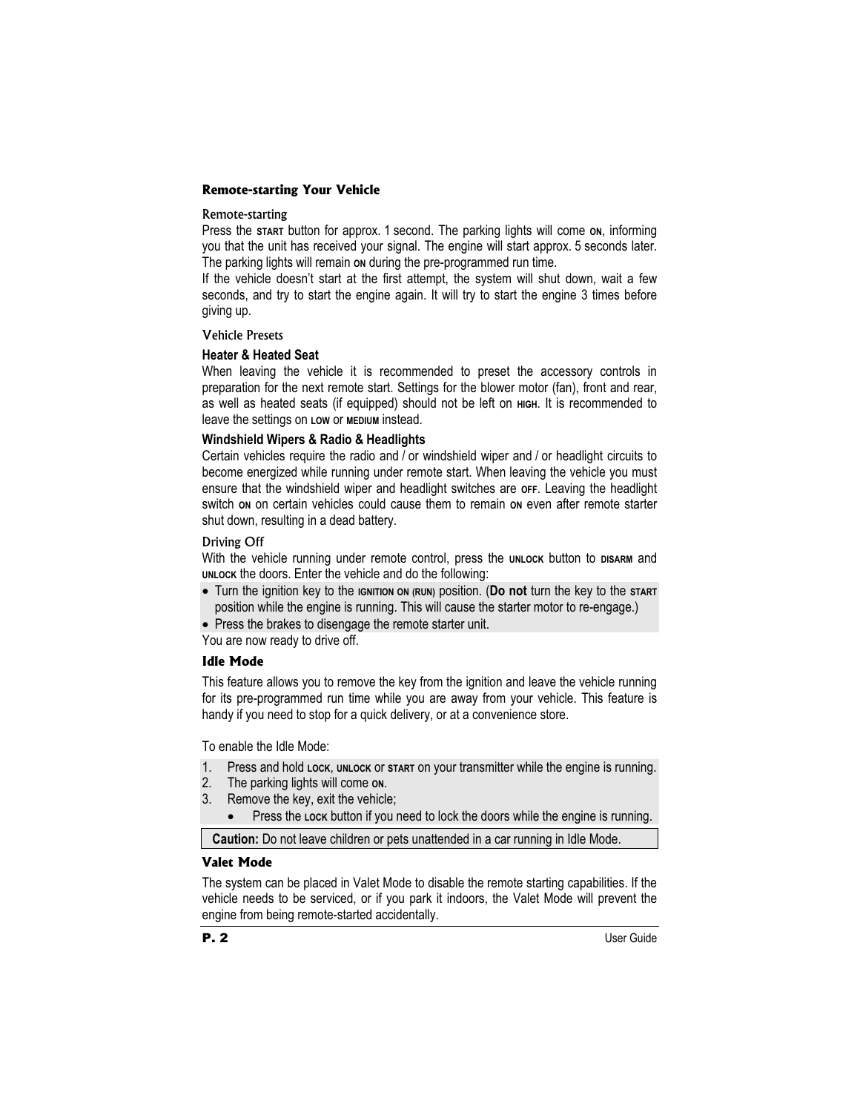# **Remote-starting Your Vehicle**

#### Remote-starting

Press the start button for approx. 1 second. The parking lights will come on, informing you that the unit has received your signal. The engine will start approx. 5 seconds later. The parking lights will remain on during the pre-programmed run time.

If the vehicle doesn't start at the first attempt, the system will shut down, wait a few seconds, and try to start the engine again. It will try to start the engine 3 times before giving up.

## Vehicle Presets

## **Heater & Heated Seat**

When leaving the vehicle it is recommended to preset the accessory controls in preparation for the next remote start. Settings for the blower motor (fan), front and rear, as well as heated seats (if equipped) should not be left on **HIGH**. It is recommended to leave the settings on **LOW** or **MEDIUM** instead.

# **Windshield Wipers & Radio & Headlights**

Certain vehicles require the radio and / or windshield wiper and / or headlight circuits to become energized while running under remote start. When leaving the vehicle you must ensure that the windshield wiper and headlight switches are **OFF**. Leaving the headlight switch **ON** on certain vehicles could cause them to remain **ON** even after remote starter shut down, resulting in a dead battery.

## Driving Off

With the vehicle running under remote control, press the **UNLOCK** button to **DISARM** and **UNLOCK** the doors. Enter the vehicle and do the following:

x Turn the ignition key to the **IGNITION ON (RUN)** position. (**Do not** turn the key to the **START** position while the engine is running. This will cause the starter motor to re-engage.)

• Press the brakes to disengage the remote starter unit.

You are now ready to drive off.

# **Idle Mode**

This feature allows you to remove the key from the ignition and leave the vehicle running for its pre-programmed run time while you are away from your vehicle. This feature is handy if you need to stop for a quick delivery, or at a convenience store.

To enable the Idle Mode:

- 1. Press and hold **LOCK**, **UNLOCK** or **START** on your transmitter while the engine is running.
- 2. The parking lights will come **ON**.
- 3. Remove the key, exit the vehicle;
	- Press the Lock button if you need to lock the doors while the engine is running.

**Caution:** Do not leave children or pets unattended in a car running in Idle Mode.

## **Valet Mode**

The system can be placed in Valet Mode to disable the remote starting capabilities. If the vehicle needs to be serviced, or if you park it indoors, the Valet Mode will prevent the engine from being remote-started accidentally.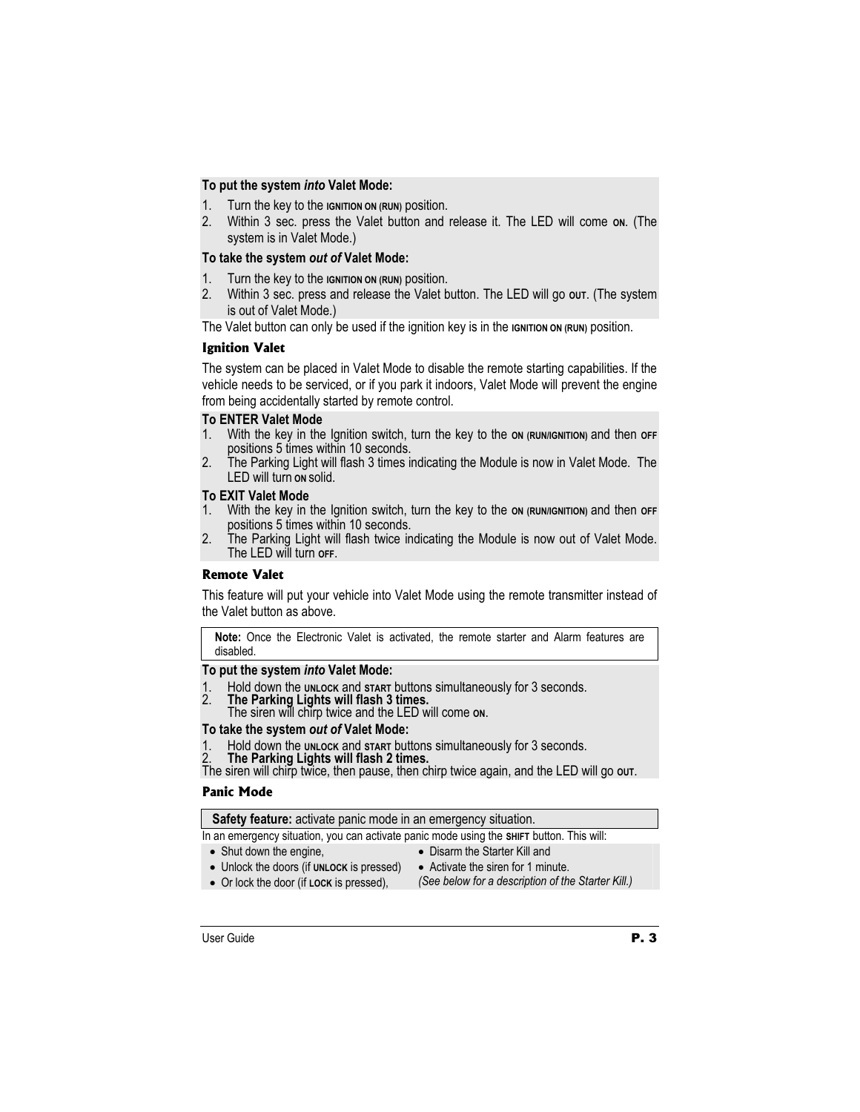# **To put the system** *into* **Valet Mode:**

- 1. Turn the key to the **IGNITION ON (RUN)** position.
- 2. Within 3 sec. press the Valet button and release it. The LED will come **ON**. (The system is in Valet Mode.)

# **To take the system** *out of* **Valet Mode:**

- 1. Turn the key to the **IGNITION ON (RUN)** position.
- 2. Within 3 sec. press and release the Valet button. The LED will go out. (The system is out of Valet Mode.)

The Valet button can only be used if the ignition key is in the **IGNITION ON (RUN)** position.

## **Ignition Valet**

The system can be placed in Valet Mode to disable the remote starting capabilities. If the vehicle needs to be serviced, or if you park it indoors, Valet Mode will prevent the engine from being accidentally started by remote control.

# **To ENTER Valet Mode**

- 1. With the key in the Ignition switch, turn the key to the **ON (RUN/IGNITION)** and then **OFF**  positions 5 times within 10 seconds.
- 2. The Parking Light will flash 3 times indicating the Module is now in Valet Mode. The LED will turn **ON** solid.

## **To EXIT Valet Mode**

- 1. With the key in the Ignition switch, turn the key to the on (RUN/IGNITION) and then off positions 5 times within 10 seconds.
- 2. The Parking Light will flash twice indicating the Module is now out of Valet Mode. The LED will turn **OFF**.

# **Remote Valet**

This feature will put your vehicle into Valet Mode using the remote transmitter instead of the Valet button as above.

**Note:** Once the Electronic Valet is activated, the remote starter and Alarm features are disabled.

# **To put the system** *into* **Valet Mode:**

- 1. Hold down the **UNLOCK** and **START** buttons simultaneously for 3 seconds. 2. **The Parking Lights will flash 3 times.**
- 
- The siren will chirp twice and the LED will come **ON**.

- **To take the system** *out of* **Valet Mode:**
- 

2. The Parking Lights will flash 2 times.<br>The siren will chirp twice, then pause, then chirp twice again, and the LED will go out.

## **Panic Mode**

**Safety feature:** activate panic mode in an emergency situation.

In an emergency situation, you can activate panic mode using the **SHIFT** button. This will:

- $\bullet$  Shut down the engine, • Unlock the doors (if **UNLOCK** is pressed)
- Disarm the Starter Kill and
- Activate the siren for 1 minute.
- Or lock the door (if **LOCK** is pressed),
- *(See below for a description of the Starter Kill.)*
-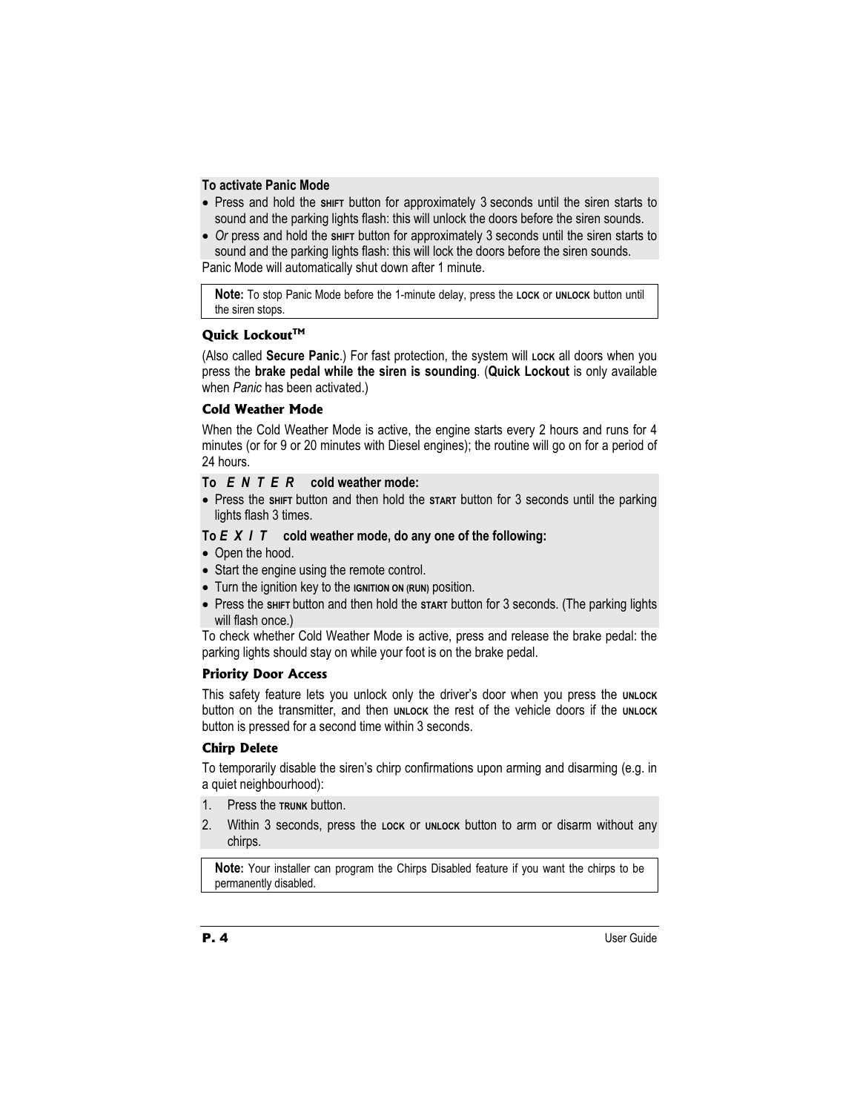## **To activate Panic Mode**

- Press and hold the s<del>HIFT</del> button for approximately 3 seconds until the siren starts to sound and the parking lights flash: this will unlock the doors before the siren sounds.
- *Or* press and hold the sният button for approximately 3 seconds until the siren starts to sound and the parking lights flash: this will lock the doors before the siren sounds.

Panic Mode will automatically shut down after 1 minute.

**Note:** To stop Panic Mode before the 1-minute delay, press the **LOCK** or **UNLOCK** button until the siren stops.

# Quick Lockout<sup>™</sup>

(Also called **Secure Panic**.) For fast protection, the system will Lock all doors when you press the **brake pedal while the siren is sounding**. (**Quick Lockout** is only available when *Panic* has been activated.)

# **Cold Weather Mode**

When the Cold Weather Mode is active, the engine starts every 2 hours and runs for 4 minutes (or for 9 or 20 minutes with Diesel engines); the routine will go on for a period of 24 hours.

# **To** *ENTER* **cold weather mode:**

• Press the shirt button and then hold the start button for 3 seconds until the parking lights flash 3 times.

# **To** *EXIT* **cold weather mode, do any one of the following:**

- Open the hood.
- Start the engine using the remote control.
- **•** Turn the ignition key to the **IGNITION ON (RUN)** position.
- Press the shirt button and then hold the start button for 3 seconds. (The parking lights will flash once.)

To check whether Cold Weather Mode is active, press and release the brake pedal: the parking lights should stay on while your foot is on the brake pedal.

# **Priority Door Access**

This safety feature lets you unlock only the driver's door when you press the **UNLOCK** button on the transmitter, and then **UNLOCK** the rest of the vehicle doors if the **UNLOCK** button is pressed for a second time within 3 seconds.

# **Chirp Delete**

To temporarily disable the siren's chirp confirmations upon arming and disarming (e.g. in a quiet neighbourhood):

- 1. Press the **TRUNK** button.
- 2. Within 3 seconds, press the **LOCK** or **UNLOCK** button to arm or disarm without any chirps.

**Note:** Your installer can program the Chirps Disabled feature if you want the chirps to be permanently disabled.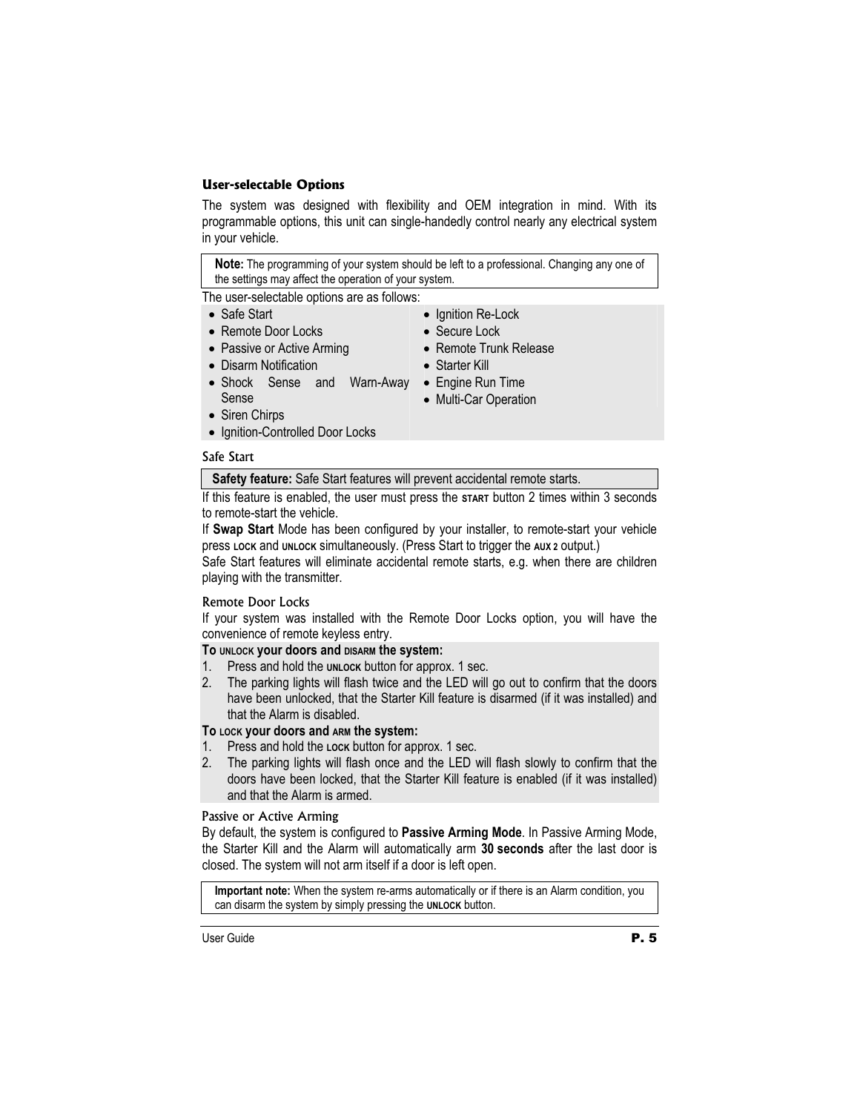# **User-selectable Options**

The system was designed with flexibility and OEM integration in mind. With its programmable options, this unit can single-handedly control nearly any electrical system in your vehicle.

**Note:** The programming of your system should be left to a professional. Changing any one of the settings may affect the operation of your system.

The user-selectable options are as follows:

#### • Safe Start

- Remote Door Locks
- Passive or Active Arming
- Disarm Notification
- Shock Sense and Warn-Away Engine Run Time Sense
- Ignition Re-Lock
- Secure Lock
- Remote Trunk Release
- Starter Kill
- - Multi-Car Operation
- Siren Chirps • Ignition-Controlled Door Locks
- Safe Start

**Safety feature:** Safe Start features will prevent accidental remote starts.

If this feature is enabled, the user must press the **START** button 2 times within 3 seconds to remote-start the vehicle.

If **Swap Start** Mode has been configured by your installer, to remote-start your vehicle press **LOCK** and **UNLOCK** simultaneously. (Press Start to trigger the **AUX 2** output.)

Safe Start features will eliminate accidental remote starts, e.g. when there are children playing with the transmitter.

# Remote Door Locks

If your system was installed with the Remote Door Locks option, you will have the convenience of remote keyless entry.

**To UNLOCK your doors and DISARM the system:** 

- 1. Press and hold the **UNLOCK** button for approx. 1 sec.
- 2. The parking lights will flash twice and the LED will go out to confirm that the doors have been unlocked, that the Starter Kill feature is disarmed (if it was installed) and that the Alarm is disabled.

## **To LOCK your doors and ARM the system:**

- 1. Press and hold the **Lock** button for approx. 1 sec.
- 2. The parking lights will flash once and the LED will flash slowly to confirm that the doors have been locked, that the Starter Kill feature is enabled (if it was installed) and that the Alarm is armed.

# Passive or Active Arming

By default, the system is configured to **Passive Arming Mode**. In Passive Arming Mode, the Starter Kill and the Alarm will automatically arm **30 seconds** after the last door is closed. The system will not arm itself if a door is left open.

**Important note:** When the system re-arms automatically or if there is an Alarm condition, you can disarm the system by simply pressing the **UNLOCK** button.

User Guide **P. 5**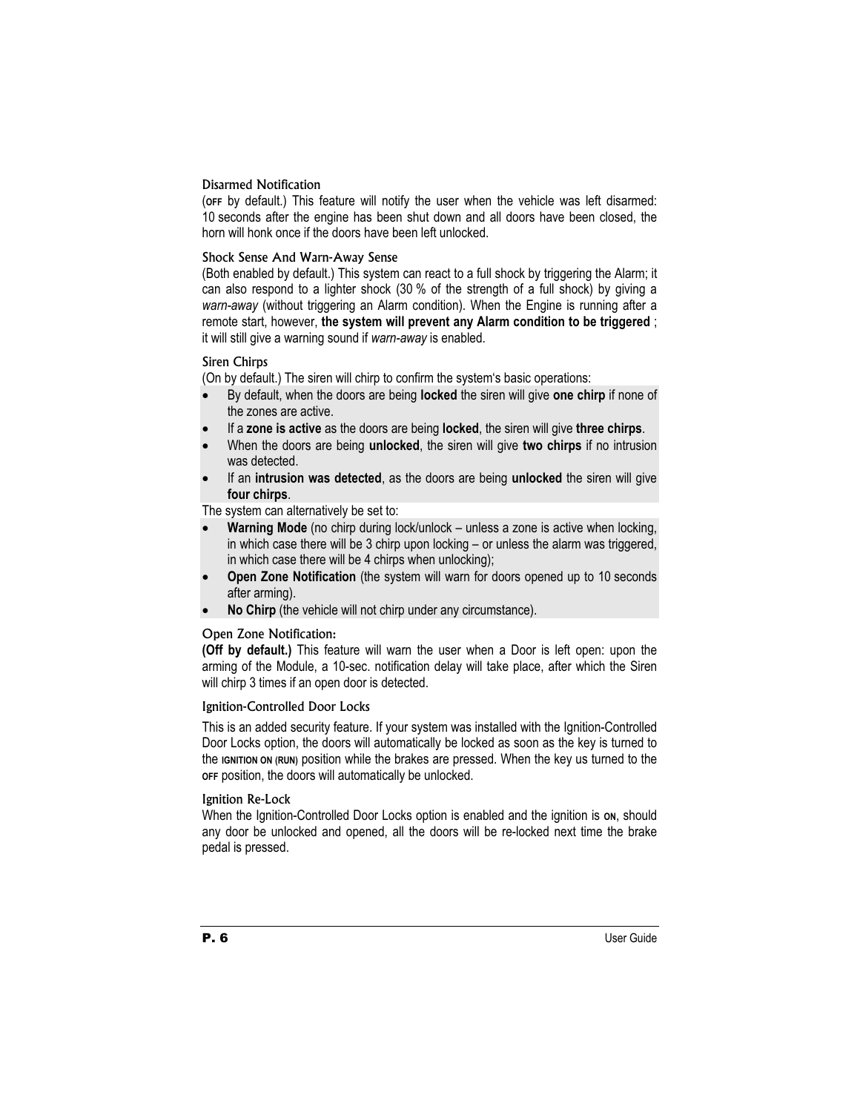# Disarmed Notification

(**OFF** by default.) This feature will notify the user when the vehicle was left disarmed: 10 seconds after the engine has been shut down and all doors have been closed, the horn will honk once if the doors have been left unlocked.

# Shock Sense And Warn-Away Sense

(Both enabled by default.) This system can react to a full shock by triggering the Alarm; it can also respond to a lighter shock (30 % of the strength of a full shock) by giving a *warn-away* (without triggering an Alarm condition). When the Engine is running after a remote start, however, **the system will prevent any Alarm condition to be triggered** ; it will still give a warning sound if *warn-away* is enabled.

# Siren Chirps

(On by default.) The siren will chirp to confirm the system's basic operations:

- x By default, when the doors are being **locked** the siren will give **one chirp** if none of the zones are active.
- x If a **zone is active** as the doors are being **locked**, the siren will give **three chirps**.
- x When the doors are being **unlocked**, the siren will give **two chirps** if no intrusion was detected.
- If an **intrusion was detected**, as the doors are being **unlocked** the siren will give **four chirps**.

The system can alternatively be set to:

- **Warning Mode** (no chirp during lock/unlock unless a zone is active when locking, in which case there will be 3 chirp upon locking – or unless the alarm was triggered, in which case there will be 4 chirps when unlocking);
- **Open Zone Notification** (the system will warn for doors opened up to 10 seconds after arming).
- x **No Chirp** (the vehicle will not chirp under any circumstance).

# Open Zone Notification:

**(Off by default.)** This feature will warn the user when a Door is left open: upon the arming of the Module, a 10-sec. notification delay will take place, after which the Siren will chirp 3 times if an open door is detected.

## Ignition-Controlled Door Locks

This is an added security feature. If your system was installed with the Ignition-Controlled Door Locks option, the doors will automatically be locked as soon as the key is turned to the **IGNITION ON (RUN)** position while the brakes are pressed. When the key us turned to the **OFF** position, the doors will automatically be unlocked.

# Ignition Re-Lock

When the Ignition-Controlled Door Locks option is enabled and the ignition is on, should any door be unlocked and opened, all the doors will be re-locked next time the brake pedal is pressed.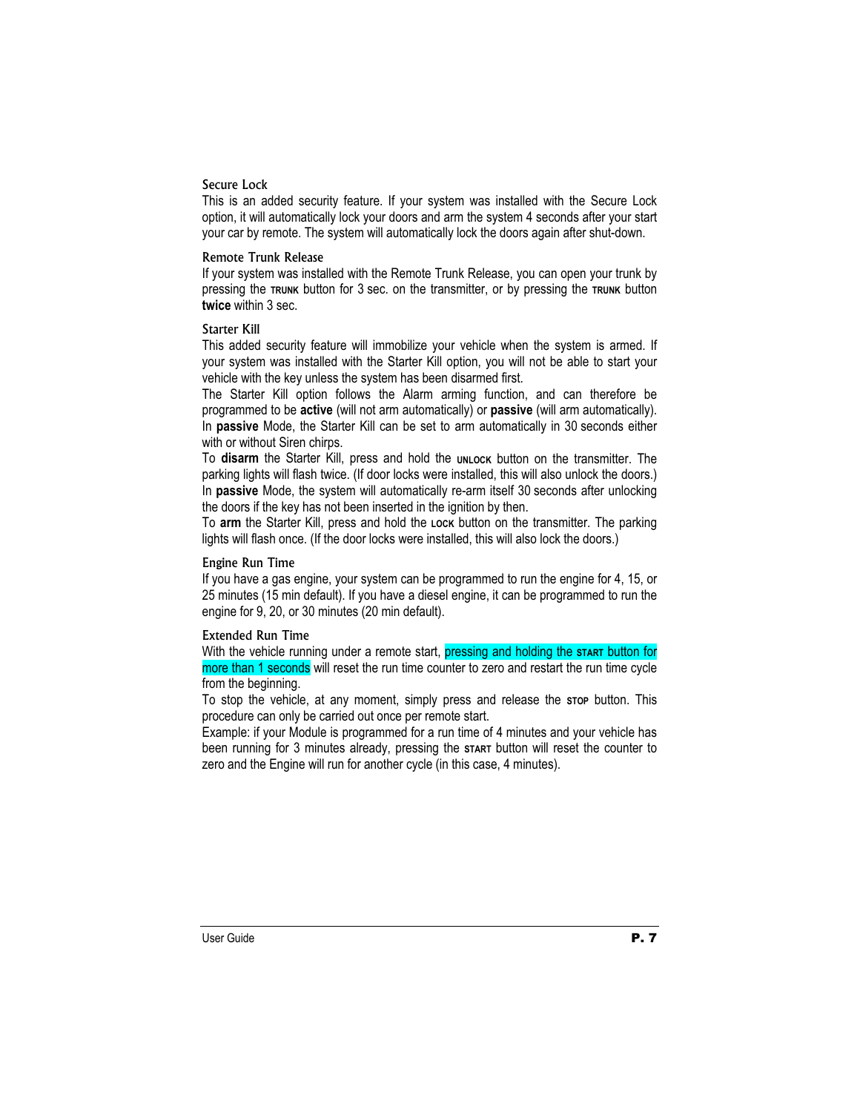## Secure Lock

This is an added security feature. If your system was installed with the Secure Lock option, it will automatically lock your doors and arm the system 4 seconds after your start your car by remote. The system will automatically lock the doors again after shut-down.

#### Remote Trunk Release

If your system was installed with the Remote Trunk Release, you can open your trunk by pressing the **TRUNK** button for 3 sec. on the transmitter, or by pressing the **TRUNK** button **twice** within 3 sec.

## Starter Kill

This added security feature will immobilize your vehicle when the system is armed. If your system was installed with the Starter Kill option, you will not be able to start your vehicle with the key unless the system has been disarmed first.

The Starter Kill option follows the Alarm arming function, and can therefore be programmed to be **active** (will not arm automatically) or **passive** (will arm automatically). In **passive** Mode, the Starter Kill can be set to arm automatically in 30 seconds either with or without Siren chirps.

To disarm the Starter Kill, press and hold the **UNLOCK** button on the transmitter. The parking lights will flash twice. (If door locks were installed, this will also unlock the doors.) In **passive** Mode, the system will automatically re-arm itself 30 seconds after unlocking the doors if the key has not been inserted in the ignition by then.

To **arm** the Starter Kill, press and hold the **LOCK** button on the transmitter. The parking lights will flash once. (If the door locks were installed, this will also lock the doors.)

## Engine Run Time

If you have a gas engine, your system can be programmed to run the engine for 4, 15, or 25 minutes (15 min default). If you have a diesel engine, it can be programmed to run the engine for 9, 20, or 30 minutes (20 min default).

## Extended Run Time

With the vehicle running under a remote start, pressing and holding the **START** button for more than 1 seconds will reset the run time counter to zero and restart the run time cycle from the beginning.

To stop the vehicle, at any moment, simply press and release the **STOP** button. This procedure can only be carried out once per remote start.

Example: if your Module is programmed for a run time of 4 minutes and your vehicle has been running for 3 minutes already, pressing the **START** button will reset the counter to zero and the Engine will run for another cycle (in this case, 4 minutes).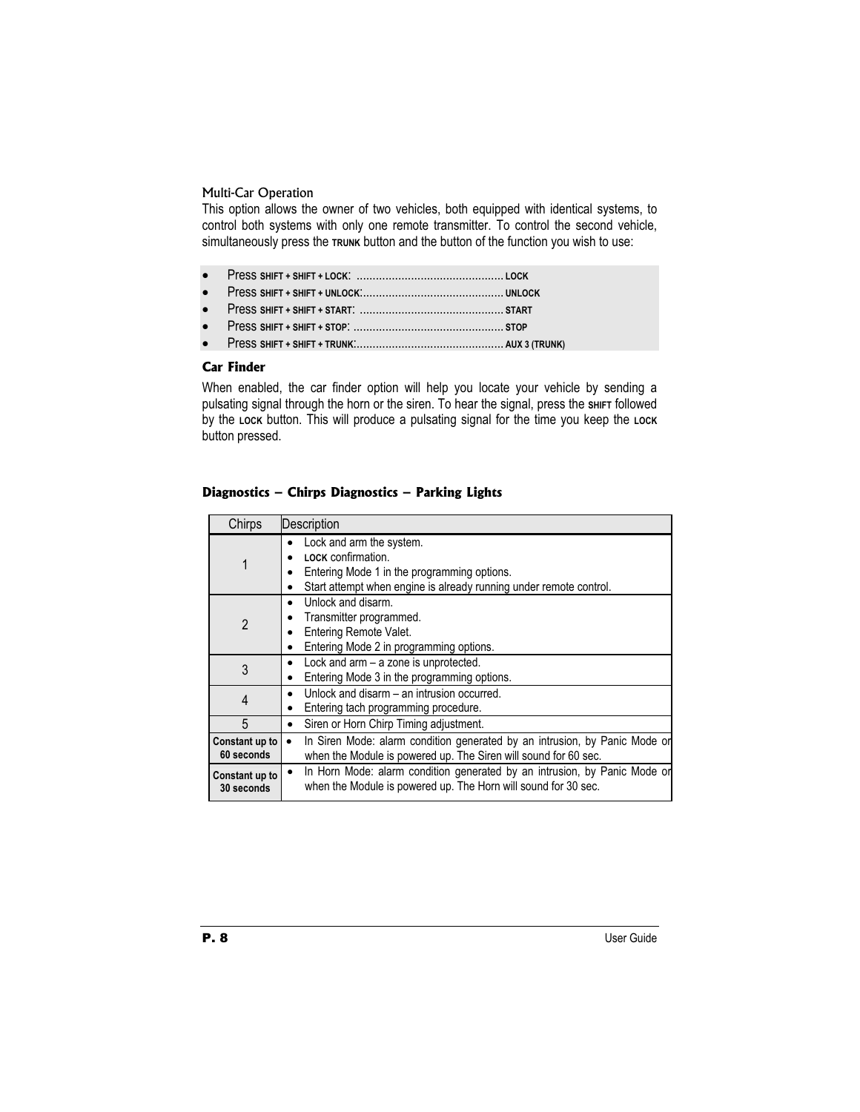# Multi-Car Operation

This option allows the owner of two vehicles, both equipped with identical systems, to control both systems with only one remote transmitter. To control the second vehicle, simultaneously press the TRUNK button and the button of the function you wish to use:

- x Press **SHIFT + SHIFT + START**: ............................................. **START**
- x Press **SHIFT + SHIFT + STOP**: ............................................... **STOP**
- x Press **SHIFT + SHIFT + TRUNK**:.............................................. **AUX 3 (TRUNK)**

# **Car Finder**

When enabled, the car finder option will help you locate your vehicle by sending a pulsating signal through the horn or the siren. To hear the signal, press the **SHIFT** followed by the Lock button. This will produce a pulsating signal for the time you keep the Lock button pressed.

# **Diagnostics – Chirps Diagnostics – Parking Lights**

| Chirps                       | Description                                                                                                                                                         |  |
|------------------------------|---------------------------------------------------------------------------------------------------------------------------------------------------------------------|--|
| 1                            | Lock and arm the system.<br>LOCK confirmation.<br>Entering Mode 1 in the programming options.<br>Start attempt when engine is already running under remote control. |  |
| $\overline{2}$               | Unlock and disarm.<br>٠<br>Transmitter programmed.<br>Entering Remote Valet.<br>Entering Mode 2 in programming options.                                             |  |
| 3                            | Lock and arm - a zone is unprotected.<br>٠<br>Entering Mode 3 in the programming options.                                                                           |  |
| 4                            | Unlock and disarm - an intrusion occurred.<br>$\bullet$<br>Entering tach programming procedure.                                                                     |  |
| 5                            | Siren or Horn Chirp Timing adjustment.<br>٠                                                                                                                         |  |
| Constant up to<br>60 seconds | In Siren Mode: alarm condition generated by an intrusion, by Panic Mode or<br>when the Module is powered up. The Siren will sound for 60 sec.                       |  |
| Constant up to<br>30 seconds | In Horn Mode: alarm condition generated by an intrusion, by Panic Mode or<br>when the Module is powered up. The Horn will sound for 30 sec.                         |  |